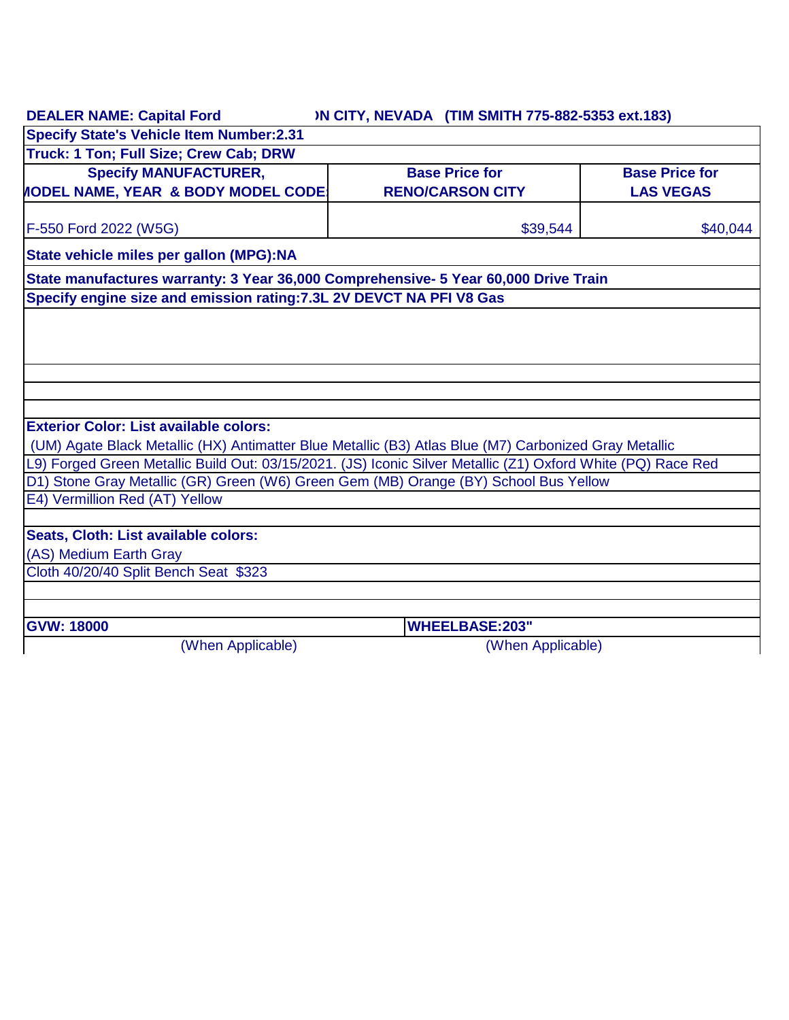|                                                                                                                                                               | <b>IN CITY, NEVADA (TIM SMITH 775-882-5353 ext.183)</b> |                       |  |  |
|---------------------------------------------------------------------------------------------------------------------------------------------------------------|---------------------------------------------------------|-----------------------|--|--|
| <b>Specify State's Vehicle Item Number:2.31</b>                                                                                                               |                                                         |                       |  |  |
| Truck: 1 Ton; Full Size; Crew Cab; DRW                                                                                                                        |                                                         |                       |  |  |
| <b>Specify MANUFACTURER,</b>                                                                                                                                  | <b>Base Price for</b>                                   | <b>Base Price for</b> |  |  |
| <b>IODEL NAME, YEAR &amp; BODY MODEL CODE:</b>                                                                                                                | <b>RENO/CARSON CITY</b>                                 | <b>LAS VEGAS</b>      |  |  |
| F-550 Ford 2022 (W5G)                                                                                                                                         | \$39,544                                                | \$40,044              |  |  |
| State vehicle miles per gallon (MPG):NA                                                                                                                       |                                                         |                       |  |  |
| State manufactures warranty: 3 Year 36,000 Comprehensive- 5 Year 60,000 Drive Train<br>Specify engine size and emission rating: 7.3L 2V DEVCT NA PFI V8 Gas   |                                                         |                       |  |  |
|                                                                                                                                                               |                                                         |                       |  |  |
|                                                                                                                                                               |                                                         |                       |  |  |
|                                                                                                                                                               |                                                         |                       |  |  |
|                                                                                                                                                               |                                                         |                       |  |  |
|                                                                                                                                                               |                                                         |                       |  |  |
|                                                                                                                                                               |                                                         |                       |  |  |
|                                                                                                                                                               |                                                         |                       |  |  |
|                                                                                                                                                               |                                                         |                       |  |  |
| (UM) Agate Black Metallic (HX) Antimatter Blue Metallic (B3) Atlas Blue (M7) Carbonized Gray Metallic                                                         |                                                         |                       |  |  |
| <b>Exterior Color: List available colors:</b><br>L9) Forged Green Metallic Build Out: 03/15/2021. (JS) Iconic Silver Metallic (Z1) Oxford White (PQ) Race Red |                                                         |                       |  |  |
| D1) Stone Gray Metallic (GR) Green (W6) Green Gem (MB) Orange (BY) School Bus Yellow                                                                          |                                                         |                       |  |  |
| E4) Vermillion Red (AT) Yellow                                                                                                                                |                                                         |                       |  |  |
|                                                                                                                                                               |                                                         |                       |  |  |
| Seats, Cloth: List available colors:                                                                                                                          |                                                         |                       |  |  |
| (AS) Medium Earth Gray                                                                                                                                        |                                                         |                       |  |  |
| Cloth 40/20/40 Split Bench Seat \$323                                                                                                                         |                                                         |                       |  |  |
|                                                                                                                                                               |                                                         |                       |  |  |
| <b>GVW: 18000</b>                                                                                                                                             | <b>WHEELBASE:203"</b>                                   |                       |  |  |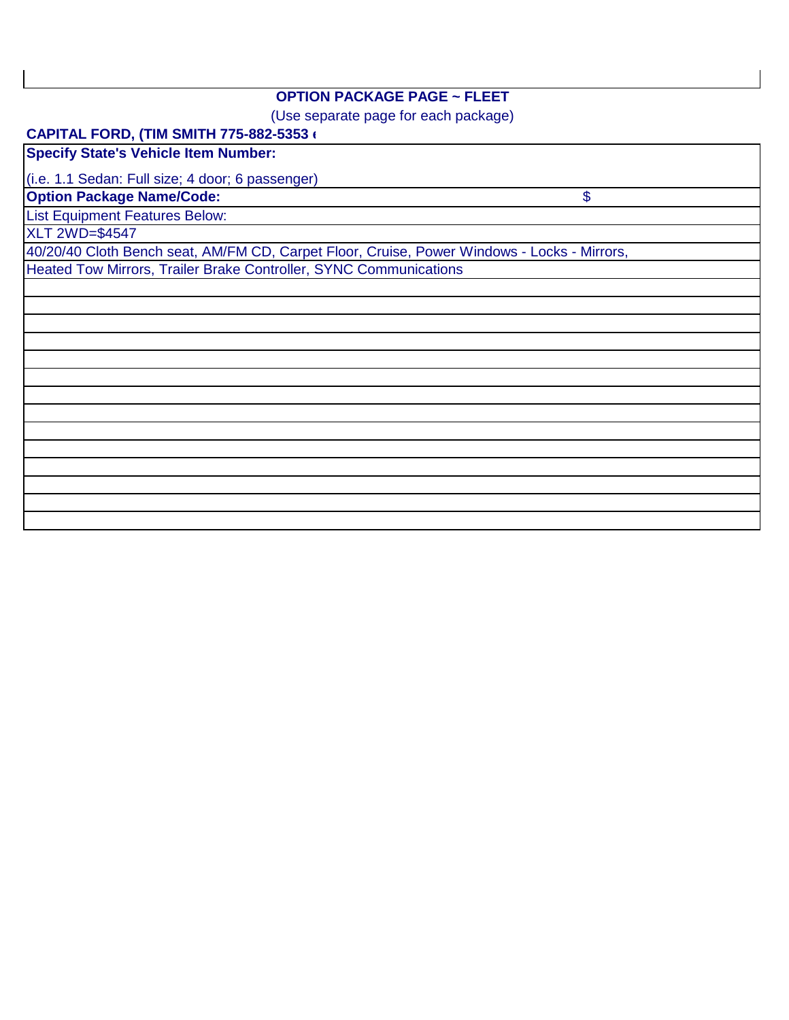## **OPTION PACKAGE PAGE ~ FLEET**

(Use separate page for each package)

\$

## **CAPITAL FORD, (TIM SMITH 775-882-5353 ext.183)**

**Specify State's Vehicle Item Number:**

(i.e. 1.1 Sedan: Full size; 4 door; 6 passenger)

**Option Package Name/Code:**

List Equipment Features Below:

XLT 2WD=\$4547

40/20/40 Cloth Bench seat, AM/FM CD, Carpet Floor, Cruise, Power Windows - Locks - Mirrors,

Heated Tow Mirrors, Trailer Brake Controller, SYNC Communications